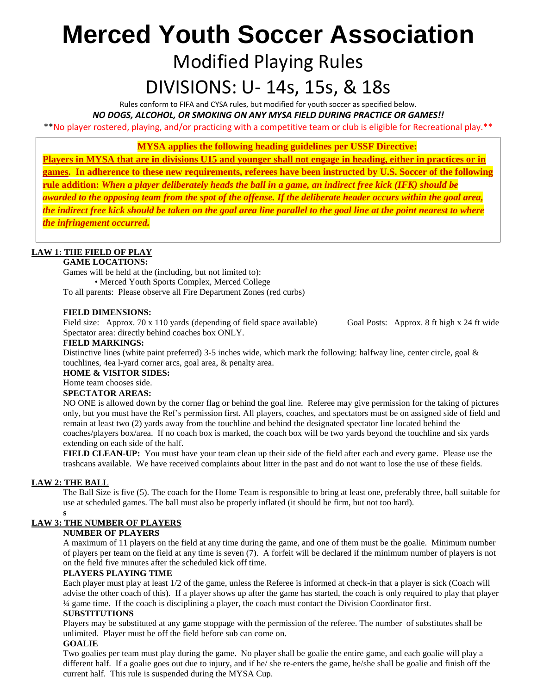# **Merced Youth Soccer Association** Modified Playing Rules

### DIVISIONS: U- 14s, 15s, & 18s

Rules conform to FIFA and CYSA rules, but modified for youth soccer as specified below.

*NO DOGS, ALCOHOL, OR SMOKING ON ANY MYSA FIELD DURING PRACTICE OR GAMES!!*

\*\*No player rostered, playing, and/or practicing with a competitive team or club is eligible for Recreational play.\*\*

**MYSA applies the following heading guidelines per USSF Directive:** 

**Players in MYSA that are in divisions U15 and younger shall not engage in heading, either in practices or in games. In adherence to these new requirements, referees have been instructed by U.S. Soccer of the following rule addition:** *When a player deliberately heads the ball in a game, an indirect free kick (IFK) should be awarded to the opposing team from the spot of the offense. If the deliberate header occurs within the goal area, the indirect free kick should be taken on the goal area line parallel to the goal line at the point nearest to where the infringement occurred.*

#### **LAW 1: THE FIELD OF PLAY**

#### **GAME LOCATIONS:**

Games will be held at the (including, but not limited to): • Merced Youth Sports Complex, Merced College

To all parents: Please observe all Fire Department Zones (red curbs)

#### **FIELD DIMENSIONS:**

Field size: Approx. 70 x 110 yards (depending of field space available) Goal Posts: Approx. 8 ft high x 24 ft wide Spectator area: directly behind coaches box ONLY.

#### **FIELD MARKINGS:**

Distinctive lines (white paint preferred) 3-5 inches wide, which mark the following: halfway line, center circle, goal  $\&$ touchlines, 4ea l-yard corner arcs, goal area, & penalty area.

#### **HOME & VISITOR SIDES:**

Home team chooses side.

#### **SPECTATOR AREAS:**

NO ONE is allowed down by the corner flag or behind the goal line. Referee may give permission for the taking of pictures only, but you must have the Ref's permission first. All players, coaches, and spectators must be on assigned side of field and remain at least two (2) yards away from the touchline and behind the designated spectator line located behind the coaches/players box/area. If no coach box is marked, the coach box will be two yards beyond the touchline and six yards extending on each side of the half.

**FIELD CLEAN-UP:** You must have your team clean up their side of the field after each and every game. Please use the trashcans available. We have received complaints about litter in the past and do not want to lose the use of these fields.

#### **LAW 2: THE BALL**

The Ball Size is five (5). The coach for the Home Team is responsible to bring at least one, preferably three, ball suitable for use at scheduled games. The ball must also be properly inflated (it should be firm, but not too hard).

#### **s LAW 3: THE NUMBER OF PLAYERS**

#### **NUMBER OF PLAYERS**

A maximum of 11 players on the field at any time during the game, and one of them must be the goalie. Minimum number of players per team on the field at any time is seven (7). A forfeit will be declared if the minimum number of players is not on the field five minutes after the scheduled kick off time.

#### **PLAYERS PLAYING TIME**

Each player must play at least 1/2 of the game, unless the Referee is informed at check-in that a player is sick (Coach will advise the other coach of this). If a player shows up after the game has started, the coach is only required to play that player ¼ game time. If the coach is disciplining a player, the coach must contact the Division Coordinator first.

#### **SUBSTITUTIONS**

Players may be substituted at any game stoppage with the permission of the referee. The number of substitutes shall be unlimited. Player must be off the field before sub can come on.

#### **GOALIE**

Two goalies per team must play during the game. No player shall be goalie the entire game, and each goalie will play a different half. If a goalie goes out due to injury, and if he/ she re-enters the game, he/she shall be goalie and finish off the current half. This rule is suspended during the MYSA Cup.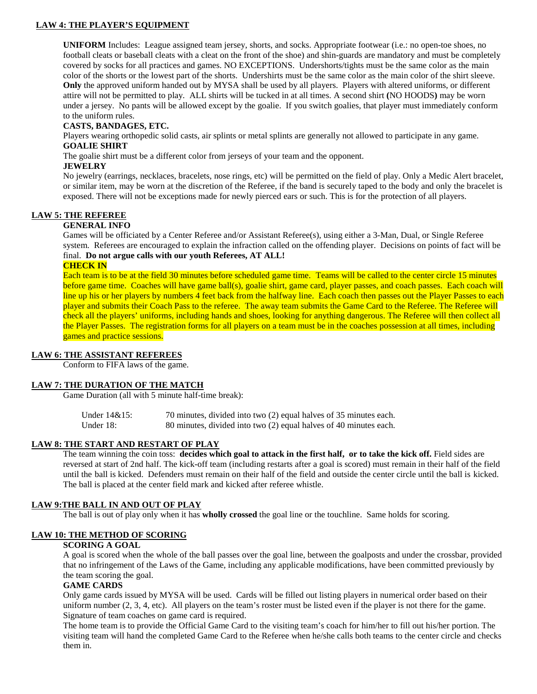#### **LAW 4: THE PLAYER'S EQUIPMENT**

**UNIFORM** Includes: League assigned team jersey, shorts, and socks. Appropriate footwear (i.e.: no open-toe shoes, no football cleats or baseball cleats with a cleat on the front of the shoe) and shin-guards are mandatory and must be completely covered by socks for all practices and games. NO EXCEPTIONS. Undershorts/tights must be the same color as the main color of the shorts or the lowest part of the shorts. Undershirts must be the same color as the main color of the shirt sleeve. **Only** the approved uniform handed out by MYSA shall be used by all players. Players with altered uniforms, or different attire will not be permitted to play. ALL shirts will be tucked in at all times. A second shirt **(**NO HOODS**)** may be worn under a jersey. No pants will be allowed except by the goalie. If you switch goalies, that player must immediately conform to the uniform rules.

#### **CASTS, BANDAGES, ETC.**

Players wearing orthopedic solid casts, air splints or metal splints are generally not allowed to participate in any game. **GOALIE SHIRT** 

The goalie shirt must be a different color from jerseys of your team and the opponent.

#### **JEWELRY**

No jewelry (earrings, necklaces, bracelets, nose rings, etc) will be permitted on the field of play. Only a Medic Alert bracelet, or similar item, may be worn at the discretion of the Referee, if the band is securely taped to the body and only the bracelet is exposed. There will not be exceptions made for newly pierced ears or such. This is for the protection of all players.

#### **LAW 5: THE REFEREE**

#### **GENERAL INFO**

Games will be officiated by a Center Referee and/or Assistant Referee(s), using either a 3-Man, Dual, or Single Referee system. Referees are encouraged to explain the infraction called on the offending player. Decisions on points of fact will be final. **Do not argue calls with our youth Referees, AT ALL!**

#### **CHECK IN**

Each team is to be at the field 30 minutes before scheduled game time. Teams will be called to the center circle 15 minutes before game time. Coaches will have game ball(s), goalie shirt, game card, player passes, and coach passes. Each coach will line up his or her players by numbers 4 feet back from the halfway line. Each coach then passes out the Player Passes to each player and submits their Coach Pass to the referee. The away team submits the Game Card to the Referee. The Referee will check all the players' uniforms, including hands and shoes, looking for anything dangerous. The Referee will then collect all the Player Passes. The registration forms for all players on a team must be in the coaches possession at all times, including games and practice sessions.

#### **LAW 6: THE ASSISTANT REFEREES**

Conform to FIFA laws of the game.

#### **LAW 7: THE DURATION OF THE MATCH**

Game Duration (all with 5 minute half-time break):

| Under 14&15: | 70 minutes, divided into two (2) equal halves of 35 minutes each. |
|--------------|-------------------------------------------------------------------|
| Under 18:    | 80 minutes, divided into two (2) equal halves of 40 minutes each. |

#### **LAW 8: THE START AND RESTART OF PLAY**

The team winning the coin toss: **decides which goal to attack in the first half, or to take the kick off.** Field sides are reversed at start of 2nd half. The kick-off team (including restarts after a goal is scored) must remain in their half of the field until the ball is kicked. Defenders must remain on their half of the field and outside the center circle until the ball is kicked. The ball is placed at the center field mark and kicked after referee whistle.

#### **LAW 9:THE BALL IN AND OUT OF PLAY**

The ball is out of play only when it has **wholly crossed** the goal line or the touchline. Same holds for scoring.

#### **LAW 10: THE METHOD OF SCORING**

#### **SCORING A GOAL**

A goal is scored when the whole of the ball passes over the goal line, between the goalposts and under the crossbar, provided that no infringement of the Laws of the Game, including any applicable modifications, have been committed previously by the team scoring the goal.

#### **GAME CARDS**

Only game cards issued by MYSA will be used. Cards will be filled out listing players in numerical order based on their uniform number  $(2, 3, 4, etc)$ . All players on the team's roster must be listed even if the player is not there for the game. Signature of team coaches on game card is required.

The home team is to provide the Official Game Card to the visiting team's coach for him/her to fill out his/her portion. The visiting team will hand the completed Game Card to the Referee when he/she calls both teams to the center circle and checks them in.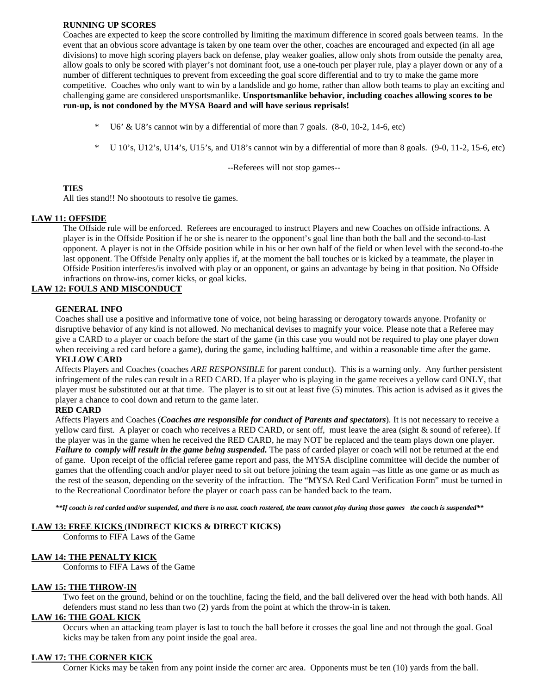#### **RUNNING UP SCORES**

Coaches are expected to keep the score controlled by limiting the maximum difference in scored goals between teams. In the event that an obvious score advantage is taken by one team over the other, coaches are encouraged and expected (in all age divisions) to move high scoring players back on defense, play weaker goalies, allow only shots from outside the penalty area, allow goals to only be scored with player's not dominant foot, use a one-touch per player rule, play a player down or any of a number of different techniques to prevent from exceeding the goal score differential and to try to make the game more competitive. Coaches who only want to win by a landslide and go home, rather than allow both teams to play an exciting and challenging game are considered unsportsmanlike. **Unsportsmanlike behavior, including coaches allowing scores to be run-up, is not condoned by the MYSA Board and will have serious reprisals!** 

- U6' & U8's cannot win by a differential of more than 7 goals.  $(8-0, 10-2, 14-6, \text{ etc})$
- $*$  U 10's, U12's, U14's, U15's, and U18's cannot win by a differential of more than 8 goals. (9-0, 11-2, 15-6, etc)

--Referees will not stop games--

#### **TIES**

All ties stand!! No shootouts to resolve tie games.

#### **LAW 11: OFFSIDE**

The Offside rule will be enforced. Referees are encouraged to instruct Players and new Coaches on offside infractions. A player is in the Offside Position if he or she is nearer to the opponent's goal line than both the ball and the second-to-last opponent. A player is not in the Offside position while in his or her own half of the field or when level with the second-to-the last opponent. The Offside Penalty only applies if, at the moment the ball touches or is kicked by a teammate, the player in Offside Position interferes/is involved with play or an opponent, or gains an advantage by being in that position. No Offside infractions on throw-ins, corner kicks, or goal kicks.

#### **LAW 12: FOULS AND MISCONDUCT**

#### **GENERAL INFO**

Coaches shall use a positive and informative tone of voice, not being harassing or derogatory towards anyone. Profanity or disruptive behavior of any kind is not allowed. No mechanical devises to magnify your voice. Please note that a Referee may give a CARD to a player or coach before the start of the game (in this case you would not be required to play one player down when receiving a red card before a game), during the game, including halftime, and within a reasonable time after the game.

#### **YELLOW CARD**

Affects Players and Coaches (coaches *ARE RESPONSIBLE* for parent conduct). This is a warning only. Any further persistent infringement of the rules can result in a RED CARD. If a player who is playing in the game receives a yellow card ONLY, that player must be substituted out at that time. The player is to sit out at least five (5) minutes. This action is advised as it gives the player a chance to cool down and return to the game later.

#### **RED CARD**

Affects Players and Coaches (*Coaches are responsible for conduct of Parents and spectators*). It is not necessary to receive a yellow card first. A player or coach who receives a RED CARD, or sent off, must leave the area (sight & sound of referee). If the player was in the game when he received the RED CARD, he may NOT be replaced and the team plays down one player. *Failure to comply will result in the game being suspended.* The pass of carded player or coach will not be returned at the end of game. Upon receipt of the official referee game report and pass, the MYSA discipline committee will decide the number of games that the offending coach and/or player need to sit out before joining the team again --as little as one game or as much as the rest of the season, depending on the severity of the infraction. The "MYSA Red Card Verification Form" must be turned in to the Recreational Coordinator before the player or coach pass can be handed back to the team.

*\*\*If coach is red carded and/or suspended, and there is no asst. coach rostered, the team cannot play during those games the coach is suspended\*\**

#### **LAW 13: FREE KICKS** (**INDIRECT KICKS & DIRECT KICKS)**

Conforms to FIFA Laws of the Game

#### **LAW 14: THE PENALTY KICK**

Conforms to FIFA Laws of the Game

#### **LAW 15: THE THROW-IN**

Two feet on the ground, behind or on the touchline, facing the field, and the ball delivered over the head with both hands. All defenders must stand no less than two (2) yards from the point at which the throw-in is taken.

#### **LAW 16: THE GOAL KICK**

Occurs when an attacking team player is last to touch the ball before it crosses the goal line and not through the goal. Goal kicks may be taken from any point inside the goal area.

#### **LAW 17: THE CORNER KICK**

Corner Kicks may be taken from any point inside the corner arc area. Opponents must be ten (10) yards from the ball.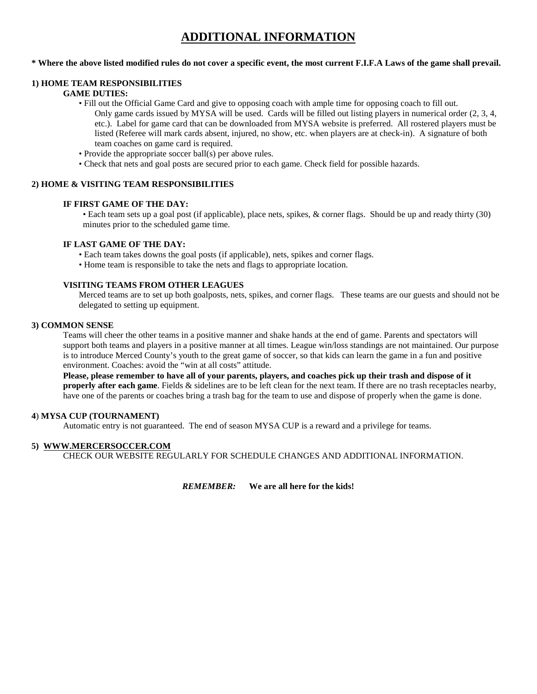### **ADDITIONAL INFORMATION**

#### **\* Where the above listed modified rules do not cover a specific event, the most current F.I.F.A Laws of the game shall prevail.**

#### **1) HOME TEAM RESPONSIBILITIES**

#### **GAME DUTIES:**

- Fill out the Official Game Card and give to opposing coach with ample time for opposing coach to fill out. Only game cards issued by MYSA will be used. Cards will be filled out listing players in numerical order (2, 3, 4, etc.). Label for game card that can be downloaded from MYSA website is preferred. All rostered players must be listed (Referee will mark cards absent, injured, no show, etc. when players are at check-in). A signature of both team coaches on game card is required.
- Provide the appropriate soccer ball(s) per above rules.
- Check that nets and goal posts are secured prior to each game. Check field for possible hazards.

#### **2) HOME & VISITING TEAM RESPONSIBILITIES**

#### **IF FIRST GAME OF THE DAY:**

• Each team sets up a goal post (if applicable), place nets, spikes, & corner flags. Should be up and ready thirty (30) minutes prior to the scheduled game time.

#### **IF LAST GAME OF THE DAY:**

- Each team takes downs the goal posts (if applicable), nets, spikes and corner flags.
- Home team is responsible to take the nets and flags to appropriate location.

#### **VISITING TEAMS FROM OTHER LEAGUES**

Merced teams are to set up both goalposts, nets, spikes, and corner flags. These teams are our guests and should not be delegated to setting up equipment.

#### **3) COMMON SENSE**

Teams will cheer the other teams in a positive manner and shake hands at the end of game. Parents and spectators will support both teams and players in a positive manner at all times. League win/loss standings are not maintained. Our purpose is to introduce Merced County's youth to the great game of soccer, so that kids can learn the game in a fun and positive environment. Coaches: avoid the "win at all costs" attitude.

**Please, please remember to have all of your parents, players, and coaches pick up their trash and dispose of it properly after each game**. Fields & sidelines are to be left clean for the next team. If there are no trash receptacles nearby, have one of the parents or coaches bring a trash bag for the team to use and dispose of properly when the game is done.

#### **4**) **MYSA CUP (TOURNAMENT)**

Automatic entry is not guaranteed. The end of season MYSA CUP is a reward and a privilege for teams.

#### **5) WWW.MERCERSOCCER.COM**

CHECK OUR WEBSITE REGULARLY FOR SCHEDULE CHANGES AND ADDITIONAL INFORMATION.

*REMEMBER:* **We are all here for the kids!**